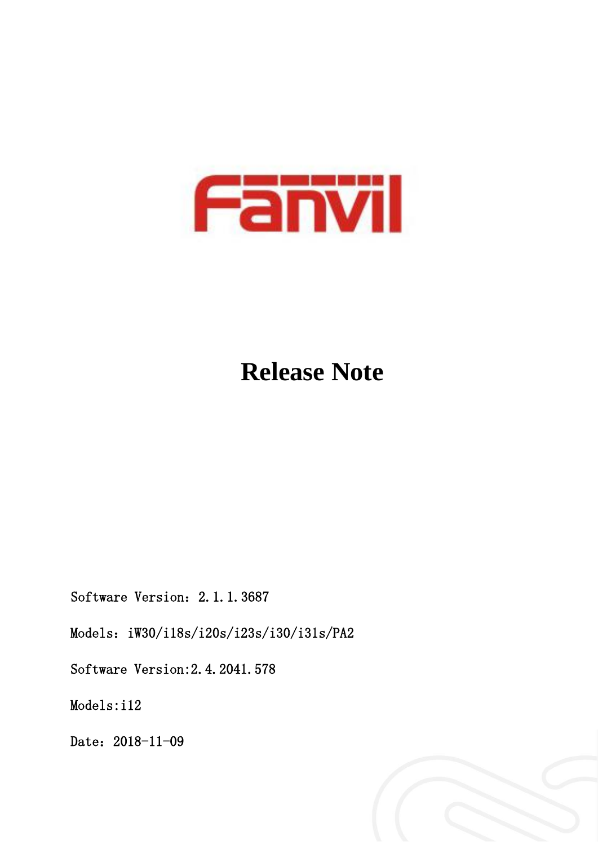

# **Release Note**

Software Version: 2.1.1.3687

Models: iW30/i18s/i20s/i23s/i30/i31s/PA2

Software Version:2.4.2041.578

Models:i12

Date: 2018-11-09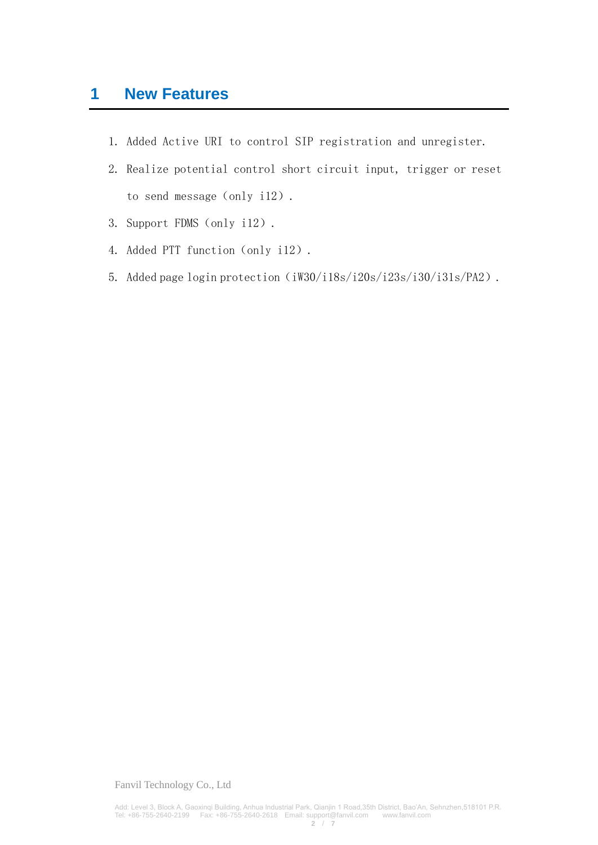## **1 New Features**

- 1. Added Active URI to control SIP registration and unregister.
- 2. Realize potential control short circuit input, trigger or reset to send message (only i12).
- 3. Support FDMS (only i12).
- 4. Added PTT function (only i12).
- 5. Added page login protection (iW30/i18s/i20s/i23s/i30/i31s/PA2).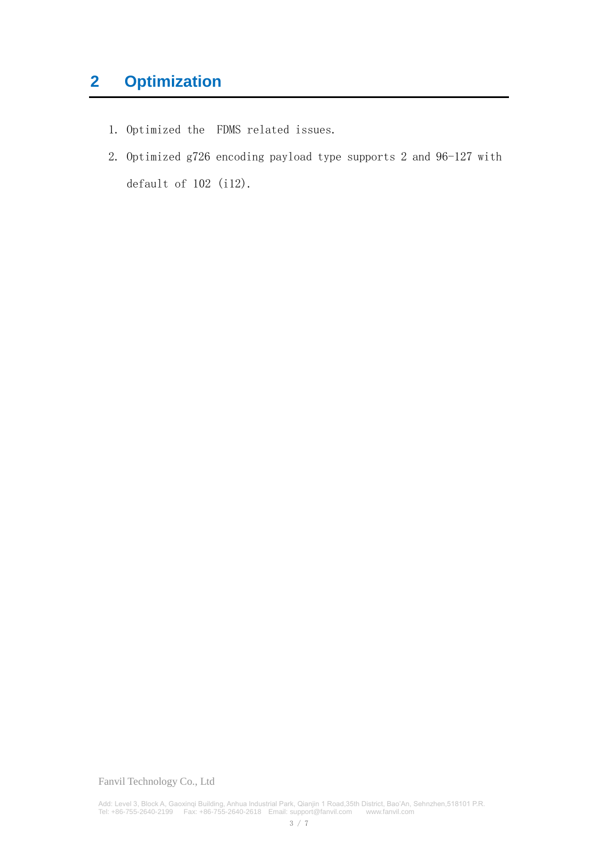# **2 Optimization**

- 1. Optimized the FDMS related issues.
- 2. Optimized g726 encoding payload type supports 2 and 96-127 with default of 102 (i12).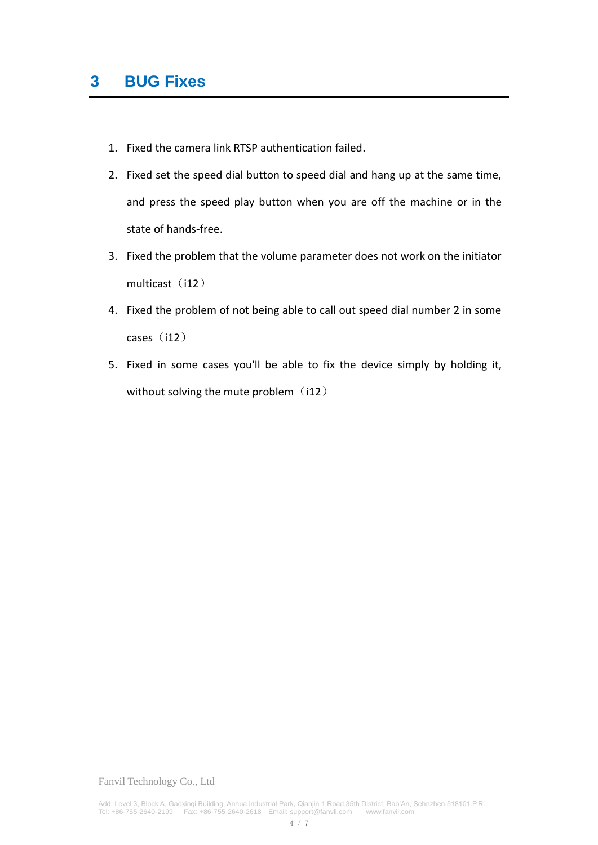- 1. Fixed the camera link RTSP authentication failed.
- 2. Fixed set the speed dial button to speed dial and hang up at the same time, and press the speed play button when you are off the machine or in the state of hands-free.
- 3. Fixed the problem that the volume parameter does not work on the initiator multicast (i12)
- 4. Fixed the problem of not being able to call out speed dial number 2 in some cases $(i12)$
- 5. Fixed in some cases you'll be able to fix the device simply by holding it, without solving the mute problem  $(i12)$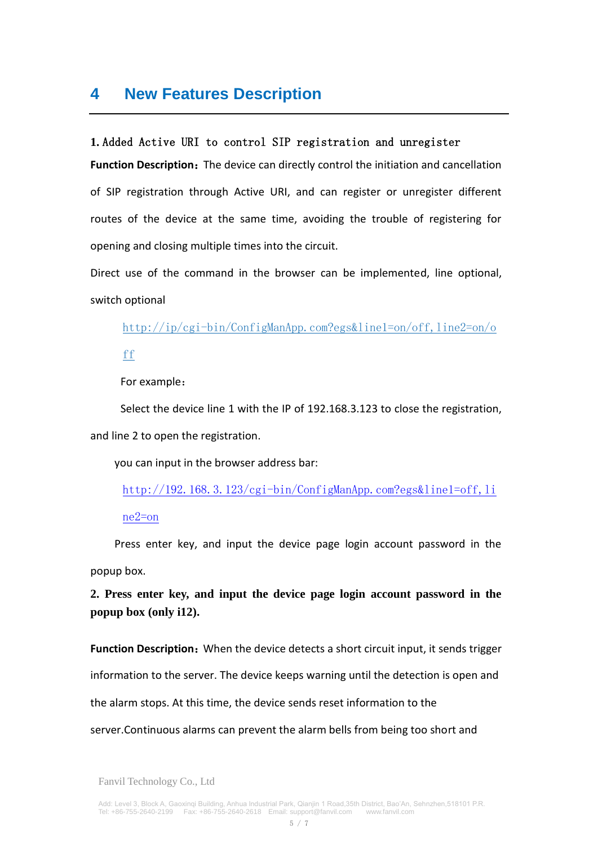### **4 New Features Description**

#### **1.** Added Active URI to control SIP registration and unregister

Function Description: The device can directly control the initiation and cancellation of SIP registration through Active URI, and can register or unregister different routes of the device at the same time, avoiding the trouble of registering for opening and closing multiple times into the circuit.

Direct use of the command in the browser can be implemented, line optional, switch optional

[http://ip/cgi-bin/ConfigManApp.com?egs&line1=on/off,line2=on/o](http://ip/cgi-bin/ConfigManApp.com?egs&line1=on/off,line2=on/off)

[ff](http://ip/cgi-bin/ConfigManApp.com?egs&line1=on/off,line2=on/off)

For example:

 Select the device line 1 with the IP of 192.168.3.123 to close the registration, and line 2 to open the registration.

you can input in the browser address bar:

[http://192.168.3.123/cgi-bin/ConfigManApp.com?egs&line1=off,li](http://192.168.3.123/cgi-bin/ConfigManApp.com?egs&line1=off,line2=on) [ne2=on](http://192.168.3.123/cgi-bin/ConfigManApp.com?egs&line1=off,line2=on)

Press enter key, and input the device page login account password in the popup box.

**2. Press enter key, and input the device page login account password in the popup box (only i12).**

**Function Description:** When the device detects a short circuit input, it sends trigger information to the server. The device keeps warning until the detection is open and the alarm stops. At this time, the device sends reset information to the server.Continuous alarms can prevent the alarm bells from being too short and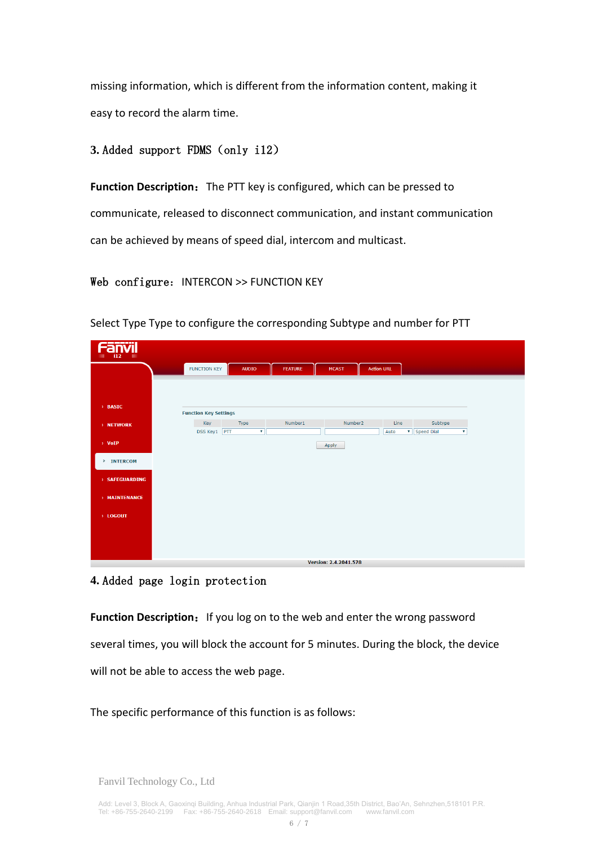missing information, which is different from the information content, making it easy to record the alarm time.

#### **3.** Added support FDMS(only i12)

**Function Description:** The PTT key is configured, which can be pressed to communicate, released to disconnect communication, and instant communication can be achieved by means of speed dial, intercom and multicast.

#### Web configure: INTERCON >> FUNCTION KEY

Fanvil FUNCTION KEY AUDIO FEATURE MCAST Action URL **BASIC Function Key Settings Example 19 Key Control** Number1 Number<sub>2</sub>  $\blacksquare$  . Line . The set of  $\blacksquare$ Subtype **NETWORK**  $\overline{\mathbf{v}}$ Auto **F** Speed Dial DSS Key1 PTT  $\overline{\mathbf{v}}$ ו ר VoII Apply  $>$  TNTERCOM SAFEGUARDING **MATNTENANCE** LOGOUT Version: 2.4.2041.578

Select Type Type to configure the corresponding Subtype and number for PTT

#### **4.** Added page login protection

**Function Description:** If you log on to the web and enter the wrong password several times, you will block the account for 5 minutes. During the block, the device will not be able to access the web page.

The specific performance of this function is as follows: